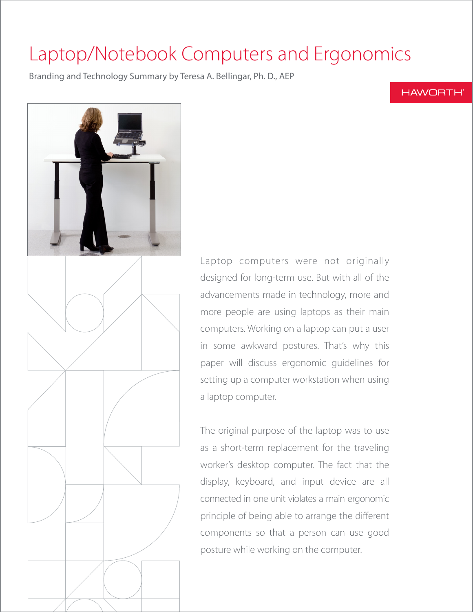# Laptop/Notebook Computers and Ergonomics

Branding and Technology Summary by Teresa A. Bellingar, Ph. D., AEP

# **HAWORTH®**



Laptop computers were not originally designed for long-term use. But with all of the advancements made in technology, more and more people are using laptops as their main computers. Working on a laptop can put a user in some awkward postures. That's why this paper will discuss ergonomic guidelines for setting up a computer workstation when using a laptop computer.

The original purpose of the laptop was to use as a short-term replacement for the traveling worker's desktop computer. The fact that the display, keyboard, and input device are all connected in one unit violates a main ergonomic principle of being able to arrange the different components so that a person can use good posture while working on the computer.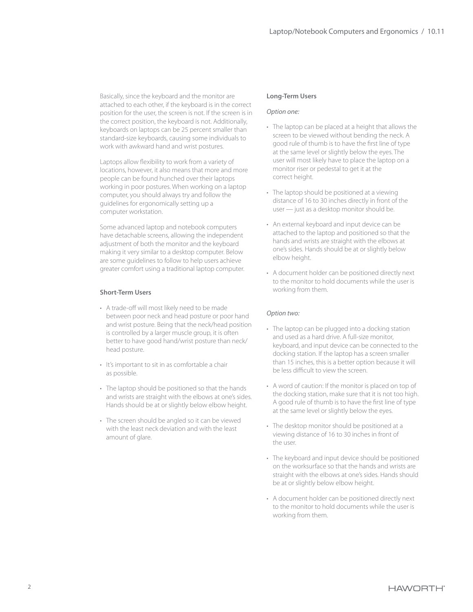Basically, since the keyboard and the monitor are attached to each other, if the keyboard is in the correct position for the user, the screen is not. If the screen is in the correct position, the keyboard is not. Additionally, keyboards on laptops can be 25 percent smaller than standard-size keyboards, causing some individuals to work with awkward hand and wrist postures.

Laptops allow flexibility to work from a variety of locations, however, it also means that more and more people can be found hunched over their laptops working in poor postures. When working on a laptop computer, you should always try and follow the guidelines for ergonomically setting up a computer workstation.

Some advanced laptop and notebook computers have detachable screens, allowing the independent adjustment of both the monitor and the keyboard making it very similar to a desktop computer. Below are some guidelines to follow to help users achieve greater comfort using a traditional laptop computer.

## **Short-Term Users**

- A trade-off will most likely need to be made between poor neck and head posture or poor hand and wrist posture. Being that the neck/head position is controlled by a larger muscle group, it is often better to have good hand/wrist posture than neck/ head posture.
- It's important to sit in as comfortable a chair as possible.
- The laptop should be positioned so that the hands and wrists are straight with the elbows at one's sides. Hands should be at or slightly below elbow height.
- The screen should be angled so it can be viewed with the least neck deviation and with the least amount of glare.

## **Long-Term Users**

#### *Option one:*

- The laptop can be placed at a height that allows the screen to be viewed without bending the neck. A good rule of thumb is to have the first line of type at the same level or slightly below the eyes. The user will most likely have to place the laptop on a monitor riser or pedestal to get it at the correct height.
- The laptop should be positioned at a viewing distance of 16 to 30 inches directly in front of the user — just as a desktop monitor should be.
- An external keyboard and input device can be attached to the laptop and positioned so that the hands and wrists are straight with the elbows at one's sides. Hands should be at or slightly below elbow height.
- A document holder can be positioned directly next to the monitor to hold documents while the user is working from them.

#### *Option two:*

- The laptop can be plugged into a docking station and used as a hard drive. A full-size monitor, keyboard, and input device can be connected to the docking station. If the laptop has a screen smaller than 15 inches, this is a better option because it will be less difficult to view the screen.
- A word of caution: If the monitor is placed on top of the docking station, make sure that it is not too high. A good rule of thumb is to have the first line of type at the same level or slightly below the eyes.
- The desktop monitor should be positioned at a viewing distance of 16 to 30 inches in front of the user.
- The keyboard and input device should be positioned on the worksurface so that the hands and wrists are straight with the elbows at one's sides. Hands should be at or slightly below elbow height.
- A document holder can be positioned directly next to the monitor to hold documents while the user is working from them.